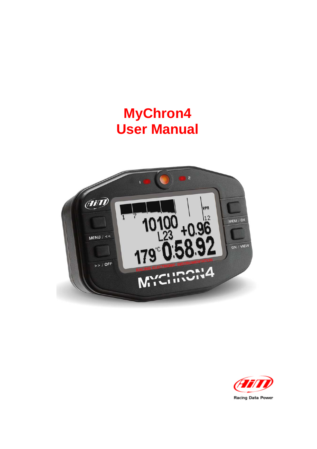# **MyChron4 User Manual**



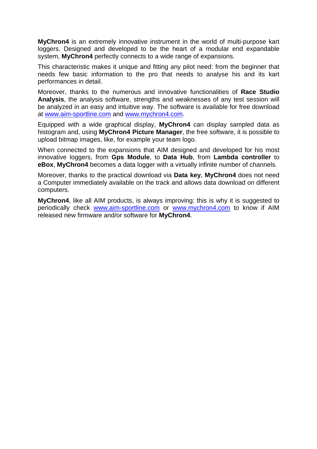**MyChron4** is an extremely innovative instrument in the world of multi-purpose kart loggers. Designed and developed to be the heart of a modular end expandable system, **MyChron4** perfectly connects to a wide range of expansions.

This characteristic makes it unique and fitting any pilot need: from the beginner that needs few basic information to the pro that needs to analyse his and its kart performances in detail.

Moreover, thanks to the numerous and innovative functionalities of **Race Studio Analysis**, the analysis software, strengths and weaknesses of any test session will be analyzed in an easy and intuitive way. The software is available for free download at www.aim-sportline.com and www.mychron4.com.

Equipped with a wide graphical display, **MyChron4** can display sampled data as histogram and, using **MyChron4 Picture Manager**, the free software, it is possible to upload bitmap images, like, for example your team logo.

When connected to the expansions that AIM designed and developed for his most innovative loggers, from **Gps Module**, to **Data Hub**, from **Lambda controller** to **eBox**, **MyChron4** becomes a data logger with a virtually infinite number of channels.

Moreover, thanks to the practical download via **Data key**, **MyChron4** does not need a Computer immediately available on the track and allows data download on different computers.

**MyChron4**, like all AIM products, is always improving: this is why it is suggested to periodically check www.aim-sportline.com or www.mychron4.com to know if AIM released new firmware and/or software for **MyChron4**.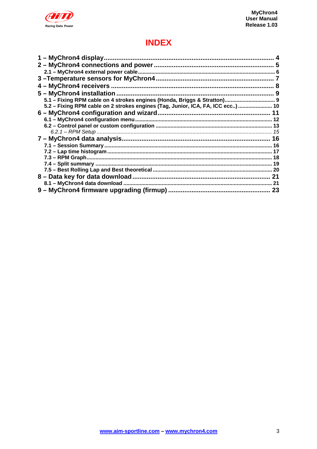

# **INDEX**

| 1 – MyChron4 display                                                            |  |
|---------------------------------------------------------------------------------|--|
|                                                                                 |  |
|                                                                                 |  |
|                                                                                 |  |
|                                                                                 |  |
|                                                                                 |  |
|                                                                                 |  |
| 5.2 - Fixing RPM cable on 2 strokes engines (Tag, Junior, ICA, FA, ICC ecc)  10 |  |
|                                                                                 |  |
|                                                                                 |  |
|                                                                                 |  |
|                                                                                 |  |
|                                                                                 |  |
|                                                                                 |  |
|                                                                                 |  |
|                                                                                 |  |
|                                                                                 |  |
|                                                                                 |  |
|                                                                                 |  |
|                                                                                 |  |
|                                                                                 |  |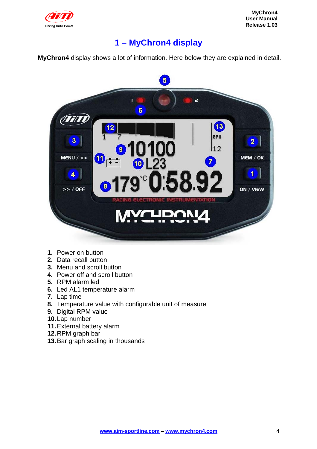

# **1 – MyChron4 display**

**MyChron4** display shows a lot of information. Here below they are explained in detail.



- **1.** Power on button
- **2.** Data recall button
- **3.** Menu and scroll button
- **4.** Power off and scroll button
- **5.** RPM alarm led
- **6.** Led AL1 temperature alarm
- **7.** Lap time
- **8.** Temperature value with configurable unit of measure
- **9.** Digital RPM value
- **10.** Lap number
- 11. External battery alarm
- **12.** RPM graph bar
- 13. Bar graph scaling in thousands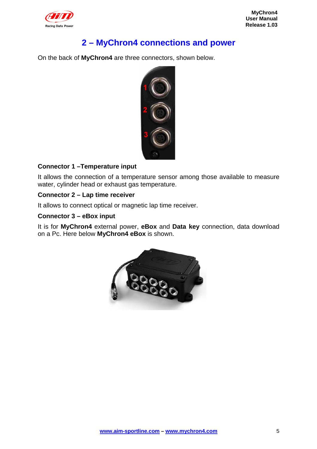

# **2 – MyChron4 connections and power**

On the back of **MyChron4** are three connectors, shown below.



#### **Connector 1 –Temperature input**

It allows the connection of a temperature sensor among those available to measure water, cylinder head or exhaust gas temperature.

#### **Connector 2 – Lap time receiver**

It allows to connect optical or magnetic lap time receiver.

#### **Connector 3 – eBox input**

It is for **MyChron4** external power, **eBox** and **Data key** connection, data download on a Pc. Here below **MyChron4 eBox** is shown.

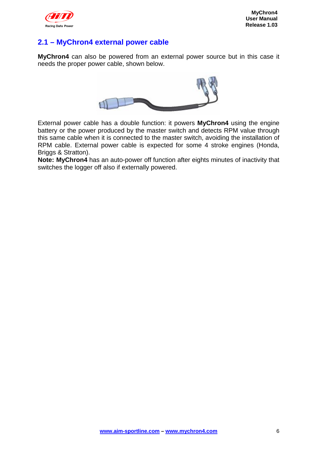

### **2.1 – MyChron4 external power cable**

**MyChron4** can also be powered from an external power source but in this case it needs the proper power cable, shown below.



External power cable has a double function: it powers **MyChron4** using the engine battery or the power produced by the master switch and detects RPM value through this same cable when it is connected to the master switch, avoiding the installation of RPM cable. External power cable is expected for some 4 stroke engines (Honda, Briggs & Stratton).

**Note: MyChron4** has an auto-power off function after eights minutes of inactivity that switches the logger off also if externally powered.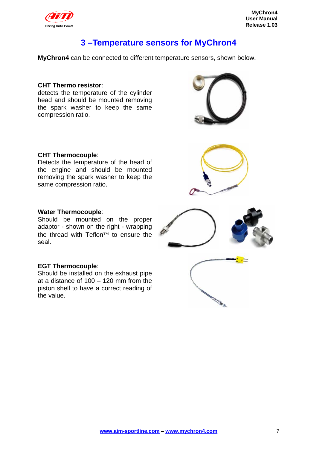

### **3 –Temperature sensors for MyChron4**

**MyChron4** can be connected to different temperature sensors, shown below.

#### **CHT Thermo resistor**:

detects the temperature of the cylinder head and should be mounted removing the spark washer to keep the same compression ratio.

#### **CHT Thermocouple**:

Detects the temperature of the head of the engine and should be mounted removing the spark washer to keep the same compression ratio.

#### **Water Thermocouple**:

Should be mounted on the proper adaptor - shown on the right - wrapping the thread with Teflon™ to ensure the seal.

#### **EGT Thermocouple**:

Should be installed on the exhaust pipe at a distance of 100 – 120 mm from the piston shell to have a correct reading of the value.







**ANTIFICIAL REPAIR** 

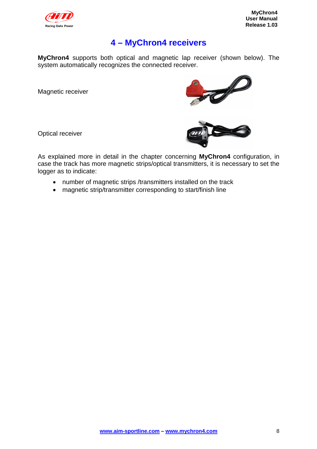

# **4 – MyChron4 receivers**

**MyChron4** supports both optical and magnetic lap receiver (shown below). The system automatically recognizes the connected receiver.

Magnetic receiver







As explained more in detail in the chapter concerning **MyChron4** configuration, in case the track has more magnetic strips/optical transmitters, it is necessary to set the logger as to indicate:

- number of magnetic strips /transmitters installed on the track
- magnetic strip/transmitter corresponding to start/finish line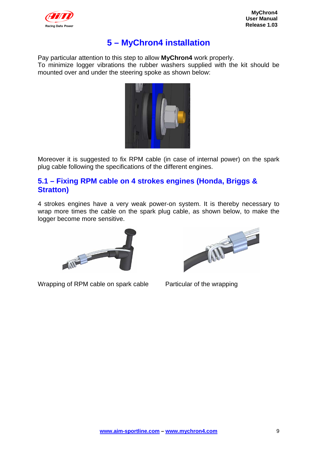

# **5 – MyChron4 installation**

Pay particular attention to this step to allow **MyChron4** work properly. To minimize logger vibrations the rubber washers supplied with the kit should be mounted over and under the steering spoke as shown below:



Moreover it is suggested to fix RPM cable (in case of internal power) on the spark plug cable following the specifications of the different engines.

#### **5.1 – Fixing RPM cable on 4 strokes engines (Honda, Briggs & Stratton)**

4 strokes engines have a very weak power-on system. It is thereby necessary to wrap more times the cable on the spark plug cable, as shown below, to make the logger become more sensitive.



Wrapping of RPM cable on spark cable Particular of the wrapping

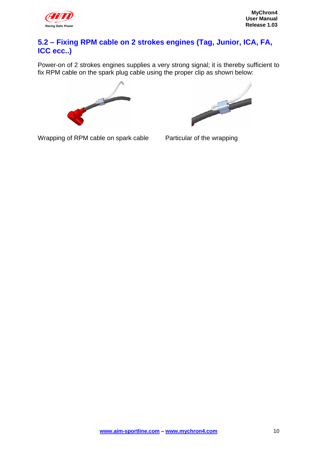

### **5.2 – Fixing RPM cable on 2 strokes engines (Tag, Junior, ICA, FA, ICC ecc..)**

Power-on of 2 strokes engines supplies a very strong signal; it is thereby sufficient to fix RPM cable on the spark plug cable using the proper clip as shown below:





Wrapping of RPM cable on spark cable Particular of the wrapping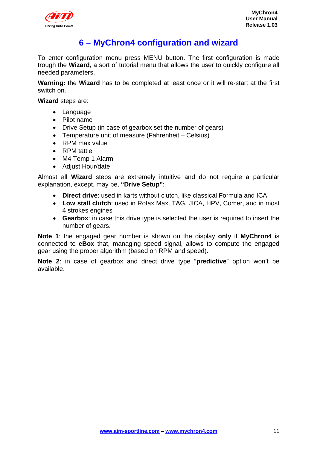

# **6 – MyChron4 configuration and wizard**

To enter configuration menu press MENU button. The first configuration is made trough the **Wizard,** a sort of tutorial menu that allows the user to quickly configure all needed parameters.

**Warning:** the **Wizard** has to be completed at least once or it will re-start at the first switch on.

**Wizard** steps are:

- Language
- Pilot name
- Drive Setup (in case of gearbox set the number of gears)
- Temperature unit of measure (Fahrenheit Celsius)
- RPM max value
- RPM tattle
- M4 Temp 1 Alarm
- Adjust Hour/date

Almost all **Wizard** steps are extremely intuitive and do not require a particular explanation, except, may be, **"Drive Setup"**:

- **Direct drive**: used in karts without clutch, like classical Formula and ICA;
- **Low stall clutch**: used in Rotax Max, TAG, JICA, HPV, Comer, and in most 4 strokes engines
- **Gearbox**: in case this drive type is selected the user is required to insert the number of gears.

**Note 1**: the engaged gear number is shown on the display **only** if **MyChron4** is connected to **eBox** that, managing speed signal, allows to compute the engaged gear using the proper algorithm (based on RPM and speed).

**Note 2**: in case of gearbox and direct drive type "**predictive**" option won't be available.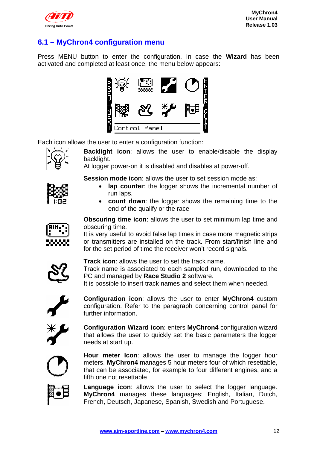

### **6.1 – MyChron4 configuration menu**

Press MENU button to enter the configuration. In case the **Wizard** has been activated and completed at least once, the menu below appears:



Each icon allows the user to enter a configuration function:



**Backlight icon**: allows the user to enable/disable the display backlight.

At logger power-on it is disabled and disables at power-off.

**Session mode icon:** allows the user to set session mode as:

- **lap counter:** the logger shows the incremental number of run laps.
- **count down**: the logger shows the remaining time to the end of the qualify or the race



**Obscuring time icon**: allows the user to set minimum lap time and obscuring time.

It is very useful to avoid false lap times in case more magnetic strips or transmitters are installed on the track. From start/finish line and for the set period of time the receiver won't record signals.



**Track icon**: allows the user to set the track name. Track name is associated to each sampled run, downloaded to the PC and managed by **Race Studio 2** software.

It is possible to insert track names and select them when needed.



**Configuration icon**: allows the user to enter **MyChron4** custom configuration. Refer to the paragraph concerning control panel for further information.



**Configuration Wizard icon**: enters **MyChron4** configuration wizard that allows the user to quickly set the basic parameters the logger needs at start up.



**Hour meter Icon**: allows the user to manage the logger hour meters. **MyChron4** manages 5 hour meters four of which resettable, that can be associated, for example to four different engines, and a fifth one not resettable



**Language icon**: allows the user to select the logger language. **MyChron4** manages these languages: English, Italian, Dutch, French, Deutsch, Japanese, Spanish, Swedish and Portuguese.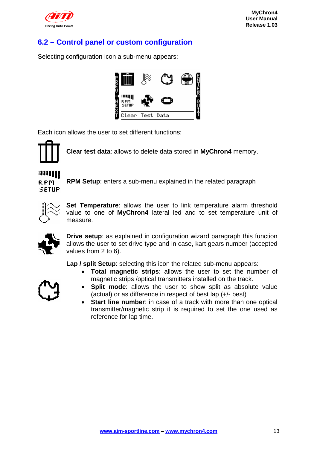

### **6.2 – Control panel or custom configuration**

Selecting configuration icon a sub-menu appears:



Each icon allows the user to set different functions:



**Clear test data**: allows to delete data stored in **MyChron4** memory.

# **RPM SETUP**

**RPM Setup**: enters a sub-menu explained in the related paragraph



**Set Temperature**: allows the user to link temperature alarm threshold value to one of **MyChron4** lateral led and to set temperature unit of measure.



**Drive setup**: as explained in configuration wizard paragraph this function allows the user to set drive type and in case, kart gears number (accepted values from 2 to 6).

**Lap / split Setup**: selecting this icon the related sub-menu appears:

• **Total magnetic strips**: allows the user to set the number of magnetic strips /optical transmitters installed on the track.



- **Split mode**: allows the user to show split as absolute value (actual) or as difference in respect of best lap (+/- best)
- **Start line number**: in case of a track with more than one optical transmitter/magnetic strip it is required to set the one used as reference for lap time.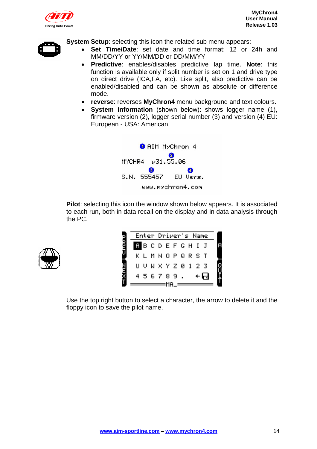



**System Setup:** selecting this icon the related sub menu appears:

- **Set Time/Date**: set date and time format: 12 or 24h and MM/DD/YY or YY/MM/DD or DD/MM/YY
- **Predictive**: enables/disables predictive lap time. **Note**: this function is available only if split number is set on 1 and drive type on direct drive (ICA,FA, etc). Like split, also predictive can be enabled/disabled and can be shown as absolute or difference mode.
- **reverse**: reverses **MyChron4** menu background and text colours.
- **System Information** (shown below): shows logger name (1), firmware version (2), logger serial number (3) and version (4) EU: European - USA: American.



**Pilot**: selecting this icon the window shown below appears. It is associated to each run, both in data recall on the display and in data analysis through the PC.



|          | Enter Driver's Name |      |        |
|----------|---------------------|------|--------|
| PREG     | <b>MBCDEFCHIJ</b>   |      | R      |
|          | K L M N O P Q R S T |      |        |
| N<br>UEJ | U U U X Y Z 0 1 2 3 |      |        |
|          | 456789.             | ╶←┡┪ | e<br>H |
|          |                     |      |        |

Use the top right button to select a character, the arrow to delete it and the floppy icon to save the pilot name.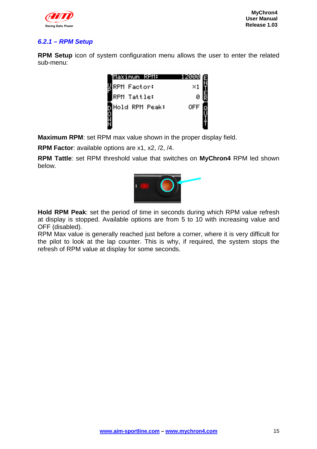

#### *6.2.1 – RPM Setup*

**RPM Setup** icon of system configuration menu allows the user to enter the related sub-menu:



**Maximum RPM**: set RPM max value shown in the proper display field.

**RPM Factor**: available options are x1, x2, /2, /4.

**RPM Tattle**: set RPM threshold value that switches on **MyChron4** RPM led shown below.



**Hold RPM Peak**: set the period of time in seconds during which RPM value refresh at display is stopped. Available options are from 5 to 10 with increasing value and OFF (disabled).

RPM Max value is generally reached just before a corner, where it is very difficult for the pilot to look at the lap counter. This is why, if required, the system stops the refresh of RPM value at display for some seconds.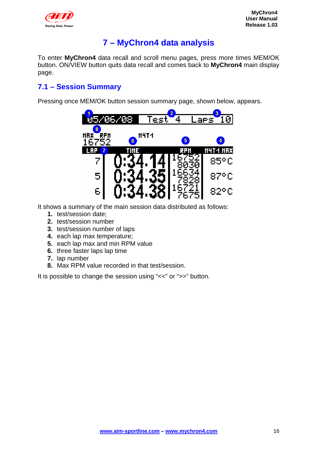

# **7 – MyChron4 data analysis**

To enter **MyChron4** data recall and scroll menu pages, press more times MEM/OK button. ON/VIEW button quits data recall and comes back to **MyChron4** main display page.

#### **7.1 – Session Summary**

Pressing once MEM/OK button session summary page, shown below, appears.



It shows a summary of the main session data distributed as follows:

- **1.** test/session date;
- **2.** test/session number
- **3.** test/session number of laps
- **4.** each lap max temperature;
- **5.** each lap max and min RPM value
- **6.** three faster laps lap time
- **7.** lap number
- **8.** Max RPM value recorded in that test/session.

It is possible to change the session using "<<" or ">>" button.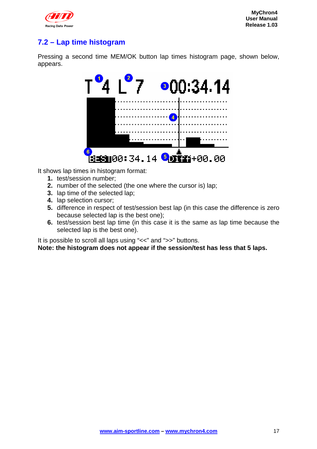

### **7.2 – Lap time histogram**

Pressing a second time MEM/OK button lap times histogram page, shown below, appears.



It shows lap times in histogram format:

- **1.** test/session number;
- **2.** number of the selected (the one where the cursor is) lap;
- **3.** lap time of the selected lap;
- **4.** lap selection cursor;
- **5.** difference in respect of test/session best lap (in this case the difference is zero because selected lap is the best one);
- **6.** test/session best lap time (in this case it is the same as lap time because the selected lap is the best one).

It is possible to scroll all laps using "<<" and ">>" buttons.

**Note: the histogram does not appear if the session/test has less that 5 laps.**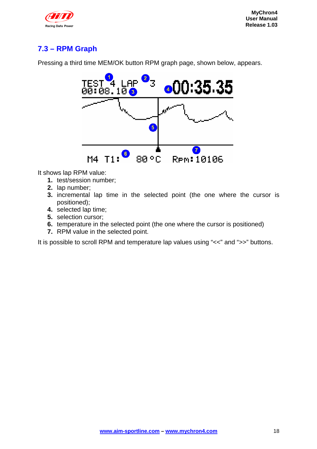

# **7.3 – RPM Graph**

Pressing a third time MEM/OK button RPM graph page, shown below, appears.



It shows lap RPM value:

- **1.** test/session number;
- **2.** lap number;
- **3.** incremental lap time in the selected point (the one where the cursor is positioned);
- **4.** selected lap time;
- **5.** selection cursor;
- **6.** temperature in the selected point (the one where the cursor is positioned)
- **7.** RPM value in the selected point.

It is possible to scroll RPM and temperature lap values using "<<" and ">>" buttons.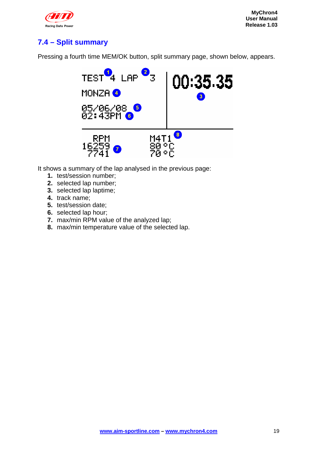

### **7.4 – Split summary**

Pressing a fourth time MEM/OK button, split summary page, shown below, appears.



It shows a summary of the lap analysed in the previous page:

- **1.** test/session number;
- **2.** selected lap number;
- **3.** selected lap laptime;
- **4.** track name;
- **5.** test/session date;
- **6.** selected lap hour;
- **7.** max/min RPM value of the analyzed lap;
- **8.** max/min temperature value of the selected lap.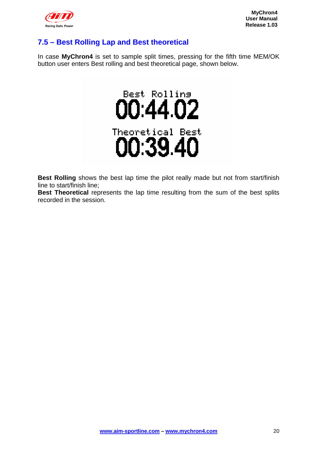

### **7.5 – Best Rolling Lap and Best theoretical**

In case **MyChron4** is set to sample split times, pressing for the fifth time MEM/OK button user enters Best rolling and best theoretical page, shown below.



**Best Rolling** shows the best lap time the pilot really made but not from start/finish line to start/finish line;

**Best Theoretical** represents the lap time resulting from the sum of the best splits recorded in the session.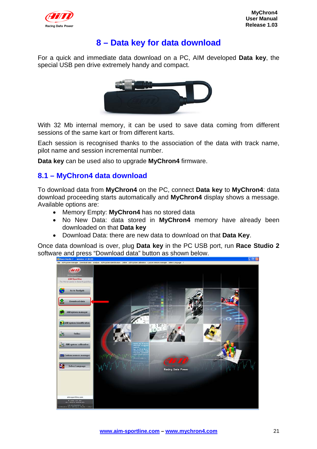

## **8 – Data key for data download**

For a quick and immediate data download on a PC, AIM developed **Data key**, the special USB pen drive extremely handy and compact.



With 32 Mb internal memory, it can be used to save data coming from different sessions of the same kart or from different karts.

Each session is recognised thanks to the association of the data with track name, pilot name and session incremental number.

**Data key** can be used also to upgrade **MyChron4** firmware.

#### **8.1 – MyChron4 data download**

To download data from **MyChron4** on the PC, connect **Data key** to **MyChron4**: data download proceeding starts automatically and **MyChron4** display shows a message. Available options are:

- Memory Empty: **MyChron4** has no stored data
- No New Data: data stored in **MyChron4** memory have already been downloaded on that **Data key**
- Download Data: there are new data to download on that **Data Key**.

Once data download is over, plug **Data key** in the PC USB port, run **Race Studio 2** software and press "Download data" button as shown below.

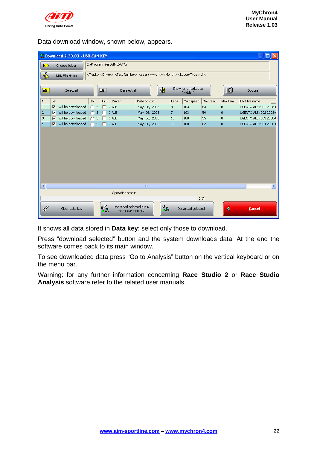

Data download window, shown below, appears.

|                |                                             |                         | Download 2.30.03 - USB-CAN KEY |    |     |                           |                                                                                                                                  |             |                         |              |      |                                 |         |                |                               |
|----------------|---------------------------------------------|-------------------------|--------------------------------|----|-----|---------------------------|----------------------------------------------------------------------------------------------------------------------------------|-------------|-------------------------|--------------|------|---------------------------------|---------|----------------|-------------------------------|
|                | C:\Program files\AIM\DATA\<br>Choose folder |                         |                                |    |     |                           |                                                                                                                                  |             |                         |              |      |                                 |         |                |                               |
|                | S                                           |                         | DRK File Name                  |    |     |                           | <track/> <driver> <test number=""> <year (="" )="" yyyy="">-<month> <loggertype>.drk</loggertype></month></year></test></driver> |             |                         |              |      |                                 |         |                |                               |
|                |                                             |                         |                                |    |     |                           |                                                                                                                                  |             |                         |              |      |                                 |         |                |                               |
|                | 回目                                          |                         | Select all                     |    |     | 口目                        | Deselect all                                                                                                                     |             |                         | ₹            |      | Show runs marked as<br>"Hidden" |         | (Ô             | Options                       |
| N              |                                             | Sel.                    |                                | Do |     | Hi                        | Driver                                                                                                                           | Date of Run |                         |              | Laps | Max speed                       | Max tem | Max tem        | DRK file name<br>             |
| $\mathbf{1}$   |                                             | $\overline{\mathbf{v}}$ | Will be downloaded             |    | 5.  |                           | $\in$ ALE                                                                                                                        |             |                         | May 06, 2008 | 8    | 103                             | 53      | $\overline{0}$ | UGENTO ALE r001 2008-0        |
| $\overline{c}$ |                                             | ⊽                       | Will be downloaded             |    | s.  |                           | CALE                                                                                                                             |             |                         | May 06, 2008 | 7    | 103                             | 54      | $\overline{0}$ | UGENTO ALE r002 2008-0        |
| 3              |                                             | ⊽                       | Will be downloaded             |    |     | $S.$ $\Box$ $\Box$ $\Box$ |                                                                                                                                  |             |                         | May 06, 2008 | 13   | 108                             | 55      | $\overline{0}$ | UGENTO ALE r003 2008-0        |
| $\overline{4}$ |                                             | ⊽                       | Will be downloaded             |    | 5.1 |                           | $C$ ALE                                                                                                                          |             |                         | May 06, 2008 | 10   | 108                             | 62      | $\overline{0}$ | <b>UGENTO ALE r004 2008-0</b> |
| ∢              |                                             |                         |                                |    |     |                           |                                                                                                                                  |             | $\mathbb{H} \mathbb{H}$ |              |      |                                 |         |                | $\rightarrow$                 |
|                |                                             |                         |                                |    |     |                           | Operation status                                                                                                                 |             |                         |              |      |                                 |         |                |                               |
|                |                                             |                         |                                |    |     |                           |                                                                                                                                  |             |                         |              |      |                                 | 0%      |                |                               |
|                |                                             |                         |                                |    |     |                           |                                                                                                                                  |             |                         |              |      |                                 |         |                |                               |
|                | ∉                                           |                         | Clear data-key                 |    |     | 跑                         | Donwload selected runs,<br>then clear memory.                                                                                    |             |                         | 恩            |      | Download selected               |         | ∢              | <b>Cancel</b>                 |

It shows all data stored in **Data key**: select only those to download.

Press "download selected" button and the system downloads data. At the end the software comes back to its main window.

To see downloaded data press "Go to Analysis" button on the vertical keyboard or on the menu bar.

Warning: for any further information concerning **Race Studio 2** or **Race Studio Analysis** software refer to the related user manuals.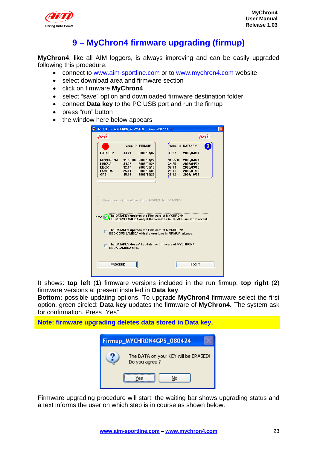

# **9 – MyChron4 firmware upgrading (firmup)**

**MyChron4**, like all AIM loggers, is always improving and can be easily upgraded following this procedure:

- connect to www.aim-sportline.com or to www.mychron4.com website
- select download area and firmware section
- click on firmware **MyChron4**
- select "save" option and downloaded firmware destination folder
- connect **Data key** to the PC USB port and run the firmup
- press "run" button
- the window here below appears

| <b>W</b> UPDATE for MYCHRON_4 SYSTEM Vers. 2007.11.03 |                   |                                                                                                     |                          |                                                                 |  |
|-------------------------------------------------------|-------------------|-----------------------------------------------------------------------------------------------------|--------------------------|-----------------------------------------------------------------|--|
| (MM)                                                  |                   |                                                                                                     |                          | (Fri Ti                                                         |  |
|                                                       |                   | Vers. in FIRMUP                                                                                     |                          | Vers. in DATAKEY<br>2                                           |  |
| <b>DATAKEY</b>                                        | 33.27             | 2008/04/07                                                                                          | 33.27                    | 2008/04/07                                                      |  |
| <b>MYCHRON4</b><br><b>LINGUA</b>                      | 31.55.06<br>34.25 | 2008/04/24<br>2008/04/24                                                                            | 81.55.06<br><b>B4.25</b> | 2008/04/24<br>2008/04/24                                        |  |
| <b>EBOX</b><br>LAMBDA                                 | 32.14<br>25.11    | 2008/03/10<br>2008/01/09                                                                            | <b>B2.14</b><br>25.11    | 2008/03/10<br>2008/01/09                                        |  |
| <b>GPS</b>                                            | 35.12             | 2007/10/23                                                                                          | 35.12                    | 2007/10/23                                                      |  |
|                                                       |                   |                                                                                                     |                          |                                                                 |  |
|                                                       |                   |                                                                                                     |                          |                                                                 |  |
|                                                       |                   | Please select one of the three MODES for DATAKEY:                                                   |                          |                                                                 |  |
|                                                       |                   |                                                                                                     |                          |                                                                 |  |
| Kev. (⊽                                               |                   | The DATAKEY updates the Firmware of MYCHRON4                                                        |                          |                                                                 |  |
|                                                       |                   |                                                                                                     |                          | EBOX GPS LAMBDA only if the versions in FIRMUP are more recent. |  |
|                                                       |                   | The DATAKEY updates the Firmware of MYCHRON4<br>EBOX GPS LAMBDA with the versions in FIRMUP always. |                          |                                                                 |  |
|                                                       |                   |                                                                                                     |                          |                                                                 |  |
|                                                       | FROX LAMBDA GPS.  | The DATAKEY doesn't update the Firmware of MYCHRON4                                                 |                          |                                                                 |  |
|                                                       |                   |                                                                                                     |                          |                                                                 |  |
| <b>PROCEED</b>                                        |                   |                                                                                                     |                          | EXIT                                                            |  |
|                                                       |                   |                                                                                                     |                          |                                                                 |  |
|                                                       |                   |                                                                                                     |                          |                                                                 |  |

It shows: **top left** (**1**) firmware versions included in the run firmup, **top right** (**2**) firmware versions at present installed in **Data key**.

**Bottom:** possible updating options. To upgrade **MyChron4** firmware select the first option, green circled: **Data key** updates the firmware of **MyChron4.** The system ask for confirmation. Press "Yes"

**Note: firmware upgrading deletes data stored in Data key.** 

| Firmup_MYCHRON4GPS_080424                             |
|-------------------------------------------------------|
| The DATA on your KEY will be ERASED!<br>Do you agree? |
| Yes<br>No                                             |

Firmware upgrading procedure will start: the waiting bar shows upgrading status and a text informs the user on which step is in course as shown below.